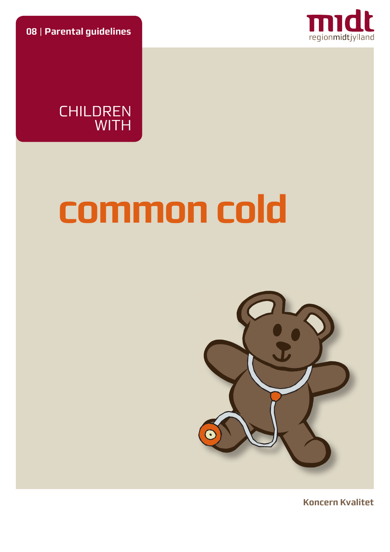**08** | **Parental guidelines**



CHILDREN WITH

# **common cold**



**Koncern Kvalitet**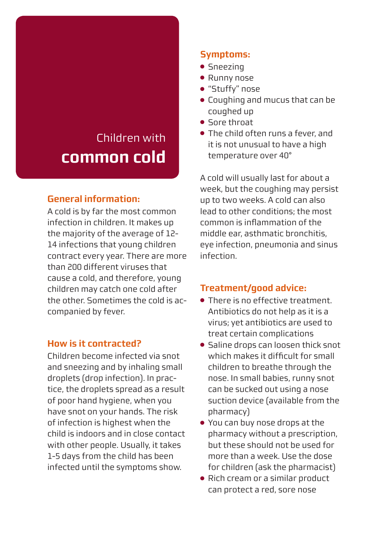# Children with **common cold**

#### **General information:**

A cold is by far the most common infection in children. It makes up the majority of the average of 12- 14 infections that young children contract every year. There are more than 200 different viruses that cause a cold, and therefore, young children may catch one cold after the other. Sometimes the cold is accompanied by fever.

#### **How is it contracted?**

Children become infected via snot and sneezing and by inhaling small droplets (drop infection). In practice, the droplets spread as a result of poor hand hygiene, when you have snot on your hands. The risk of infection is highest when the child is indoors and in close contact with other people. Usually, it takes 1-5 days from the child has been infected until the symptoms show.

## **Symptoms:**

- Sneezing
- Runny nose
- "Stuffy" nose
- Coughing and mucus that can be coughed up
- Sore throat
- The child often runs a fever, and it is not unusual to have a high temperature over 40°

A cold will usually last for about a week, but the coughing may persist up to two weeks. A cold can also lead to other conditions; the most common is inflammation of the middle ear, asthmatic bronchitis, eye infection, pneumonia and sinus infection.

## **Treatment/good advice:**

- There is no effective treatment. Antibiotics do not help as it is a virus; yet antibiotics are used to treat certain complications
- Saline drops can loosen thick snot which makes it difficult for small children to breathe through the nose. In small babies, runny snot can be sucked out using a nose suction device (available from the pharmacy)
- You can buy nose drops at the pharmacy without a prescription, but these should not be used for more than a week. Use the dose for children (ask the pharmacist)
- Rich cream or a similar product can protect a red, sore nose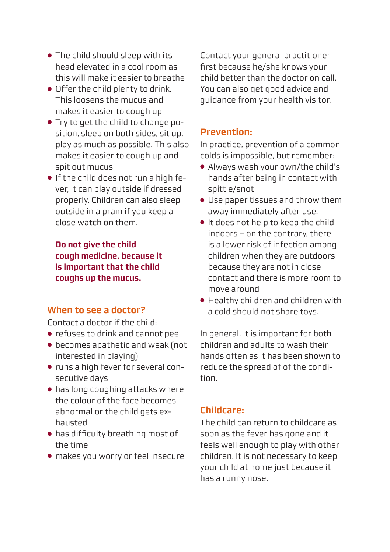- The child should sleep with its head elevated in a cool room as this will make it easier to breathe
- Offer the child plenty to drink. This loosens the mucus and makes it easier to cough up
- Try to get the child to change position, sleep on both sides, sit up, play as much as possible. This also makes it easier to cough up and spit out mucus
- If the child does not run a high fever, it can play outside if dressed properly. Children can also sleep outside in a pram if you keep a close watch on them.

**Do not give the child cough medicine, because it is important that the child coughs up the mucus.**

#### **When to see a doctor?**

Contact a doctor if the child:

- refuses to drink and cannot pee
- becomes apathetic and weak (not interested in playing)
- runs a high fever for several consecutive days
- has long coughing attacks where the colour of the face becomes abnormal or the child gets exhausted
- has difficulty breathing most of the time
- makes you worry or feel insecure

Contact your general practitioner first because he/she knows your child better than the doctor on call. You can also get good advice and guidance from your health visitor.

#### **Prevention:**

In practice, prevention of a common colds is impossible, but remember:

- Always wash your own/the child's hands after being in contact with spittle/snot
- Use paper tissues and throw them away immediately after use.
- It does not help to keep the child indoors – on the contrary, there is a lower risk of infection among children when they are outdoors because they are not in close contact and there is more room to move around
- Healthy children and children with a cold should not share toys.

In general, it is important for both children and adults to wash their hands often as it has been shown to reduce the spread of of the condition.

#### **Childcare:**

The child can return to childcare as soon as the fever has gone and it feels well enough to play with other children. It is not necessary to keep your child at home just because it has a runny nose.